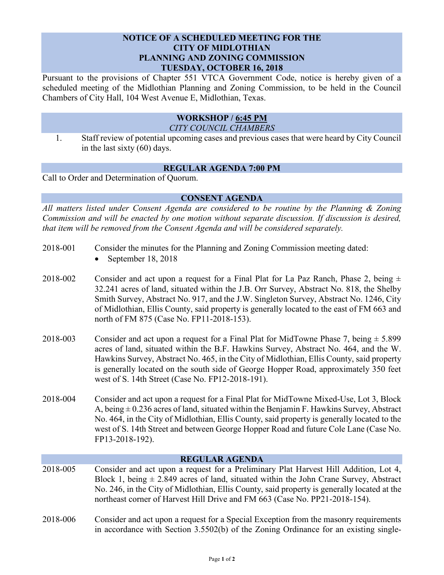## **NOTICE OF A SCHEDULED MEETING FOR THE CITY OF MIDLOTHIAN PLANNING AND ZONING COMMISSION TUESDAY, OCTOBER 16, 2018**

Pursuant to the provisions of Chapter 551 VTCA Government Code, notice is hereby given of a scheduled meeting of the Midlothian Planning and Zoning Commission, to be held in the Council Chambers of City Hall, 104 West Avenue E, Midlothian, Texas.

### **WORKSHOP / 6:45 PM** *CITY COUNCIL CHAMBERS*

1. Staff review of potential upcoming cases and previous cases that were heard by City Council in the last sixty (60) days.

# **REGULAR AGENDA 7:00 PM**

Call to Order and Determination of Quorum.

# **CONSENT AGENDA**

*All matters listed under Consent Agenda are considered to be routine by the Planning & Zoning Commission and will be enacted by one motion without separate discussion. If discussion is desired, that item will be removed from the Consent Agenda and will be considered separately.*

- 2018-001 Consider the minutes for the Planning and Zoning Commission meeting dated:
	- September 18, 2018
- 2018-002 Consider and act upon a request for a Final Plat for La Paz Ranch, Phase 2, being  $\pm$ 32.241 acres of land, situated within the J.B. Orr Survey, Abstract No. 818, the Shelby Smith Survey, Abstract No. 917, and the J.W. Singleton Survey, Abstract No. 1246, City of Midlothian, Ellis County, said property is generally located to the east of FM 663 and north of FM 875 (Case No. FP11-2018-153).
- 2018-003 Consider and act upon a request for a Final Plat for MidTowne Phase 7, being  $\pm$  5.899 acres of land, situated within the B.F. Hawkins Survey, Abstract No. 464, and the W. Hawkins Survey, Abstract No. 465, in the City of Midlothian, Ellis County, said property is generally located on the south side of George Hopper Road, approximately 350 feet west of S. 14th Street (Case No. FP12-2018-191).
- 2018-004 Consider and act upon a request for a Final Plat for MidTowne Mixed-Use, Lot 3, Block A, being  $\pm$  0.236 acres of land, situated within the Benjamin F. Hawkins Survey, Abstract No. 464, in the City of Midlothian, Ellis County, said property is generally located to the west of S. 14th Street and between George Hopper Road and future Cole Lane (Case No. FP13-2018-192).

## **REGULAR AGENDA**

- 2018-005 Consider and act upon a request for a Preliminary Plat Harvest Hill Addition, Lot 4, Block 1, being  $\pm$  2.849 acres of land, situated within the John Crane Survey, Abstract No. 246, in the City of Midlothian, Ellis County, said property is generally located at the northeast corner of Harvest Hill Drive and FM 663 (Case No. PP21-2018-154).
- 2018-006 Consider and act upon a request for a Special Exception from the masonry requirements in accordance with Section 3.5502(b) of the Zoning Ordinance for an existing single-